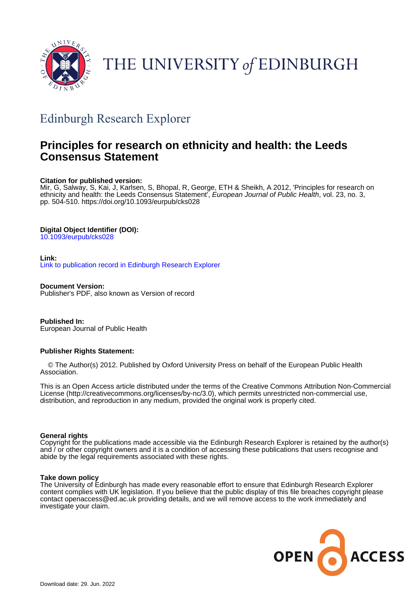

# THE UNIVERSITY of EDINBURGH

## Edinburgh Research Explorer

## **Principles for research on ethnicity and health: the Leeds Consensus Statement**

## **Citation for published version:**

Mir, G, Salway, S, Kai, J, Karlsen, S, Bhopal, R, George, ETH & Sheikh, A 2012, 'Principles for research on ethnicity and health: the Leeds Consensus Statement<sup>r</sup>, *European Journal of Public Health*, vol. 23, no. 3, pp. 504-510. <https://doi.org/10.1093/eurpub/cks028>

## **Digital Object Identifier (DOI):**

[10.1093/eurpub/cks028](https://doi.org/10.1093/eurpub/cks028)

## **Link:**

[Link to publication record in Edinburgh Research Explorer](https://www.research.ed.ac.uk/en/publications/231db843-76ba-40e2-b511-ec34474b8e08)

**Document Version:** Publisher's PDF, also known as Version of record

**Published In:** European Journal of Public Health

## **Publisher Rights Statement:**

 © The Author(s) 2012. Published by Oxford University Press on behalf of the European Public Health Association.

This is an Open Access article distributed under the terms of the Creative Commons Attribution Non-Commercial License (http://creativecommons.org/licenses/by-nc/3.0), which permits unrestricted non-commercial use, distribution, and reproduction in any medium, provided the original work is properly cited.

### **General rights**

Copyright for the publications made accessible via the Edinburgh Research Explorer is retained by the author(s) and / or other copyright owners and it is a condition of accessing these publications that users recognise and abide by the legal requirements associated with these rights.

### **Take down policy**

The University of Edinburgh has made every reasonable effort to ensure that Edinburgh Research Explorer content complies with UK legislation. If you believe that the public display of this file breaches copyright please contact openaccess@ed.ac.uk providing details, and we will remove access to the work immediately and investigate your claim.

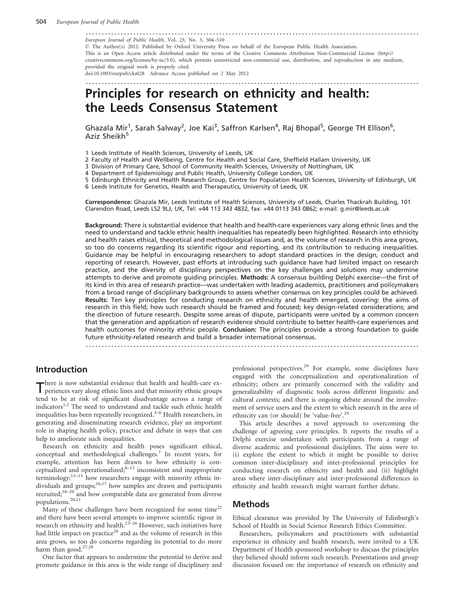......................................................................................................... European Journal of Public Health, Vol. 23, No. 3, 504–510

- The Author(s) 2012. Published by Oxford University Press on behalf of the European Public Health Association. This is an Open Access article distributed under the terms of the Creative Commons Attribution Non-Commercial License (http:// creativecommons.org/licenses/by-nc/3.0), which permits unrestricted non-commercial use, distribution, and reproduction in any medium, provided the original work is properly cited.

doi:10.1093/eurpub/cks028 Advance Access published on 2 May 2012 .........................................................................................................

## Principles for research on ethnicity and health: the Leeds Consensus Statement

Ghazala Mir<sup>1</sup>, Sarah Salway<sup>2</sup>, Joe Kai<sup>3</sup>, Saffron Karlsen<sup>4</sup>, Raj Bhopal<sup>5</sup>, George TH Ellison<sup>6</sup>, Aziz Sheikh<sup>5</sup>

1 Leeds Institute of Health Sciences, University of Leeds, UK

2 Faculty of Health and Wellbeing, Centre for Health and Social Care, Sheffield Hallam University, UK

3 Division of Primary Care, School of Community Health Sciences, University of Nottingham, UK

4 Department of Epidemiology and Public Health, University College London, UK

5 Edinburgh Ethnicity and Health Research Group, Centre for Population Health Sciences, University of Edinburgh, UK

6 Leeds Institute for Genetics, Health and Therapeutics, University of Leeds, UK

Correspondence: Ghazala Mir, Leeds Institute of Health Sciences, University of Leeds, Charles Thackrah Building, 101 Clarendon Road, Leeds LS2 9LJ, UK, Tel: +44 113 343 4832, fax: +44 0113 343 0862; e-mail: g.mir@leeds.ac.uk

Background: There is substantial evidence that health and health-care experiences vary along ethnic lines and the need to understand and tackle ethnic health inequalities has repeatedly been highlighted. Research into ethnicity and health raises ethical, theoretical and methodological issues and, as the volume of research in this area grows, so too do concerns regarding its scientific rigour and reporting, and its contribution to reducing inequalities. Guidance may be helpful in encouraging researchers to adopt standard practices in the design, conduct and reporting of research. However, past efforts at introducing such guidance have had limited impact on research practice, and the diversity of disciplinary perspectives on the key challenges and solutions may undermine attempts to derive and promote guiding principles. Methods: A consensus building Delphi exercise—the first of its kind in this area of research practice—was undertaken with leading academics, practitioners and policymakers from a broad range of disciplinary backgrounds to assess whether consensus on key principles could be achieved. Results: Ten key principles for conducting research on ethnicity and health emerged, covering: the aims of research in this field; how such research should be framed and focused; key design-related considerations; and the direction of future research. Despite some areas of dispute, participants were united by a common concern that the generation and application of research evidence should contribute to better health-care experiences and health outcomes for minority ethnic people. Conclusion: The principles provide a strong foundation to quide future ethnicity-related research and build a broader international consensus.

.........................................................................................................

## Introduction

There is now substantial evidence that health and health-care ex-periences vary along ethnic lines and that minority ethnic groups tend to be at risk of significant disadvantage across a range of indicators $1,2$  $1,2$  $1,2$ <sup>1,2</sup> The need to understand and tackle such ethnic health inequalities has been repeatedly recognized.<sup> $3-6$ </sup> Health researchers, in generating and disseminating research evidence, play an important role in shaping health policy, practice and debate in ways that can help to ameliorate such inequalities.

Research on ethnicity and health poses significant ethical, conceptual and methodological challenges.[7](#page-7-0) In recent years, for example, attention has been drawn to how ethnicity is conceptualized and operationalized; $8-12$  inconsistent and inappropriate the terminology;<sup>[13–15](#page-7-0)</sup> how researchers engage with minority ethnic in-dividuals and groups;<sup>[16,17](#page-7-0)</sup> how samples are drawn and participants recruited;<sup>[18–20](#page-7-0)</sup> and how comparable data are generated from diverse populations.<sup>[20,21](#page-7-0)</sup>

Many of these challenges have been recognized for some time<sup>[22](#page-7-0)</sup> and there have been several attempts to improve scientific rigour in research on ethnicity and health.<sup>23-26</sup> However, such initiatives have had little impact on practice<sup>[26](#page-7-0)</sup> and as the volume of research in this area grows, so too do concerns regarding its potential to do more harm than good.<sup>[27](#page-7-0),[28](#page-7-0)</sup>

One factor that appears to undermine the potential to derive and promote guidance in this area is the wide range of disciplinary and professional perspectives.[29](#page-7-0) For example, some disciplines have engaged with the conceptualization and operationalization of ethnicity; others are primarily concerned with the validity and generalizability of diagnostic tools across different linguistic and cultural contexts; and there is ongoing debate around the involvement of service users and the extent to which research in the area of ethnicity can (or should) be 'value-free'.<sup>[29](#page-7-0)</sup>

This article describes a novel approach to overcoming the challenge of agreeing core principles. It reports the results of a Delphi exercise undertaken with participants from a range of diverse academic and professional disciplines. The aims were to: (i) explore the extent to which it might be possible to derive common inter-disciplinary and inter-professional principles for conducting research on ethnicity and health and (ii) highlight areas where inter-disciplinary and inter-professional differences in ethnicity and health research might warrant further debate.

### Methods

Ethical clearance was provided by The University of Edinburgh's School of Health in Social Science Research Ethics Committee.

Researchers, policymakers and practitioners with substantial experience in ethnicity and health research, were invited to a UK Department of Health sponsored workshop to discuss the principles they believed should inform such research. Presentations and group discussion focused on: the importance of research on ethnicity and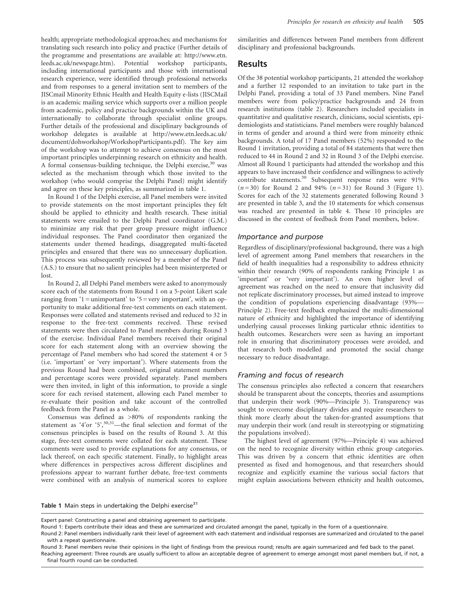health; appropriate methodological approaches; and mechanisms for translating such research into policy and practice (Further details of the programme and presentations are available at: http://www.etn. leeds.ac.uk/newspage.htm). Potential workshop participants, including international participants and those with international research experience, were identified through professional networks and from responses to a general invitation sent to members of the JISCmail Minority Ethnic Health and Health Equity e-lists (JISCMail is an academic mailing service which supports over a million people from academic, policy and practice backgrounds within the UK and internationally to collaborate through specialist online groups. Further details of the professional and disciplinary backgrounds of workshop delegates is available at http://www.etn.leeds.ac.uk/ document/dohworkshop/WorkshopParticipants.pdf). The key aim of the workshop was to attempt to achieve consensus on the most important principles underpinning research on ethnicity and health. A formal consensus-building technique, the Delphi exercise,<sup>[30](#page-7-0)</sup> was selected as the mechanism through which those invited to the workshop (who would comprise the Delphi Panel) might identify and agree on these key principles, as summarized in table 1.

In Round 1 of the Delphi exercise, all Panel members were invited to provide statements on the most important principles they felt should be applied to ethnicity and health research. These initial statements were emailed to the Delphi Panel coordinator (G.M.) to minimize any risk that peer group pressure might influence individual responses. The Panel coordinator then organized the statements under themed headings, disaggregated multi-faceted principles and ensured that there was no unnecessary duplication. This process was subsequently reviewed by a member of the Panel (A.S.) to ensure that no salient principles had been misinterpreted or lost.

In Round 2, all Delphi Panel members were asked to anonymously score each of the statements from Round 1 on a 5-point Likert scale ranging from  $1 =$  unimportant' to  $5 =$  very important', with an opportunity to make additional free-text comments on each statement. Responses were collated and statements revised and reduced to 32 in response to the free-text comments received. These revised statements were then circulated to Panel members during Round 3 of the exercise. Individual Panel members received their original score for each statement along with an overview showing the percentage of Panel members who had scored the statement 4 or 5 (i.e. 'important' or 'very important'). Where statements from the previous Round had been combined, original statement numbers and percentage scores were provided separately. Panel members were then invited, in light of this information, to provide a single score for each revised statement, allowing each Panel member to re-evaluate their position and take account of the controlled feedback from the Panel as a whole.

Consensus was defined as >80% of respondents ranking the statement as '4'or '5', $30,31$  $30,31$  $30,31$ —the final selection and format of the consensus principles is based on the results of Round 3. At this stage, free-text comments were collated for each statement. These comments were used to provide explanations for any consensus, or lack thereof, on each specific statement. Finally, to highlight areas where differences in perspectives across different disciplines and professions appear to warrant further debate, free-text comments were combined with an analysis of numerical scores to explore similarities and differences between Panel members from different disciplinary and professional backgrounds.

#### Results

Of the 38 potential workshop participants, 21 attended the workshop and a further 12 responded to an invitation to take part in the Delphi Panel, providing a total of 33 Panel members. Nine Panel members were from policy/practice backgrounds and 24 from research institutions [\(table 2](#page-3-0)). Researchers included specialists in quantitative and qualitative research, clinicians, social scientists, epidemiologists and statisticians. Panel members were roughly balanced in terms of gender and around a third were from minority ethnic backgrounds. A total of 17 Panel members (52%) responded to the Round 1 invitation, providing a total of 84 statements that were then reduced to 44 in Round 2 and 32 in Round 3 of the Delphi exercise. Almost all Round 1 participants had attended the workshop and this appears to have increased their confidence and willingness to actively contribute statements.<sup>[30](#page-7-0)</sup> Subsequent response rates were 91%  $(n=30)$  for Round 2 and 94%  $(n=31)$  for Round 3 [\(Figure 1\)](#page-3-0). Scores for each of the 32 statements generated following Round 3 are presented in [table 3](#page-4-0), and the 10 statements for which consensus was reached are presented in [table 4.](#page-5-0) These 10 principles are discussed in the context of feedback from Panel members, below.

#### Importance and purpose

Regardless of disciplinary/professional background, there was a high level of agreement among Panel members that researchers in the field of health inequalities had a responsibility to address ethnicity within their research (90% of respondents ranking Principle 1 as 'important' or 'very important'). An even higher level of agreement was reached on the need to ensure that inclusivity did not replicate discriminatory processes, but aimed instead to improve the condition of populations experiencing disadvantage (93%— Principle 2). Free-text feedback emphasized the multi-dimensional nature of ethnicity and highlighted the importance of identifying underlying causal processes linking particular ethnic identities to health outcomes. Researchers were seen as having an important role in ensuring that discriminatory processes were avoided, and that research both modelled and promoted the social change necessary to reduce disadvantage.

#### Framing and focus of research

The consensus principles also reflected a concern that researchers should be transparent about the concepts, theories and assumptions that underpin their work (90%—Principle 3). Transparency was sought to overcome disciplinary divides and require researchers to think more clearly about the taken-for-granted assumptions that may underpin their work (and result in stereotyping or stigmatizing the populations involved).

The highest level of agreement (97%—Principle 4) was achieved on the need to recognize diversity within ethnic group categories. This was driven by a concern that ethnic identities are often presented as fixed and homogenous, and that researchers should recognize and explicitly examine the various social factors that might explain associations between ethnicity and health outcomes,

Table 1 Main steps in undertaking the Delphi exercise $31$ 

Expert panel: Constructing a panel and obtaining agreement to participate.

Round 1: Experts contribute their ideas and these are summarized and circulated amongst the panel, typically in the form of a questionnaire.

Round 2: Panel members individually rank their level of agreement with each statement and individual responses are summarized and circulated to the panel with a repeat questionnaire.

Round 3: Panel members revise their opinions in the light of findings from the previous round; results are again summarized and fed back to the panel. Reaching agreement: Three rounds are usually sufficient to allow an acceptable degree of agreement to emerge amongst most panel members but, if not, a final fourth round can be conducted.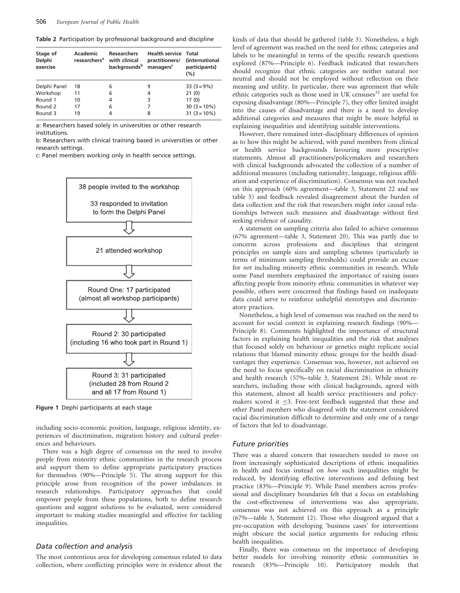<span id="page-3-0"></span>Table 2 Participation by professional background and discipline

| Stage of<br>Delphi<br>exercise | Academic<br>researchers <sup>a</sup> | <b>Researchers</b><br>with clinical<br>backgrounds <sup>b</sup> | <b>Health service Total</b><br>practitioners/<br>managers <sup>c</sup> | <i>(international</i><br>participants)<br>(%) |
|--------------------------------|--------------------------------------|-----------------------------------------------------------------|------------------------------------------------------------------------|-----------------------------------------------|
| Delphi Panel                   | 18                                   | 6                                                               | 9                                                                      | 33 $(3=9%)$                                   |
| Workshop                       | 11                                   | 6                                                               | 4                                                                      | 21(0)                                         |
| Round 1                        | 10                                   | 4                                                               | 3                                                                      | 17(0)                                         |
| Round 2                        | 17                                   | 6                                                               | 7                                                                      | $30(3 = 10\%)$                                |
| Round 3                        | 19                                   | 4                                                               | 8                                                                      | $31(3 = 10\%)$                                |

a: Researchers based solely in universities or other research institutions.

b: Researchers with clinical training based in universities or other research settings.

c: Panel members working only in health service settings.



Figure 1 Dephi participants at each stage

including socio-economic position, language, religious identity, experiences of discrimination, migration history and cultural preferences and behaviours.

There was a high degree of consensus on the need to involve people from minority ethnic communities in the research process and support them to define appropriate participatory practices for themselves (90%—Principle 5). The strong support for this principle arose from recognition of the power imbalances in research relationships. Participatory approaches that could empower people from these populations, both to define research questions and suggest solutions to be evaluated, were considered important to making studies meaningful and effective for tackling inequalities.

#### Data collection and analysis

The most contentious area for developing consensus related to data collection, where conflicting principles were in evidence about the

kinds of data that should be gathered [\(table 3\)](#page-4-0). Nonetheless, a high level of agreement was reached on the need for ethnic categories and labels to be meaningful in terms of the specific research questions explored (87%—Principle 6). Feedback indicated that researchers should recognize that ethnic categories are neither natural nor neutral and should not be employed without reflection on their meaning and utility. In particular, there was agreement that while ethnic categories such as those used in UK censuses<sup>[32](#page-7-0)</sup> are useful for exposing disadvantage (80%—Principle 7), they offer limited insight into the causes of disadvantage and there is a need to develop additional categories and measures that might be more helpful in explaining inequalities and identifying suitable interventions.

However, there remained inter-disciplinary differences of opinion as to how this might be achieved, with panel members from clinical or health service backgrounds favouring more prescriptive statements. Almost all practitioners/policymakers and researchers with clinical backgrounds advocated the collection of a number of additional measures (including nationality, language, religious affiliation and experience of discrimination). Consensus was not reached on this approach (60% agreement—[table 3,](#page-4-0) Statement 22 and see [table 5](#page-5-0)) and feedback revealed disagreement about the burden of data collection and the risk that researchers might infer causal relationships between such measures and disadvantage without first seeking evidence of causality.

A statement on sampling criteria also failed to achieve consensus (67% agreement—[table 3](#page-4-0), Statement 20). This was partly due to concerns across professions and disciplines that stringent principles on sample sizes and sampling schemes (particularly in terms of minimum sampling thresholds) could provide an excuse for not including minority ethnic communities in research. While some Panel members emphasized the importance of raising issues affecting people from minority ethnic communities in whatever way possible, others were concerned that findings based on inadequate data could serve to reinforce unhelpful stereotypes and discriminatory practices.

Nonetheless, a high level of consensus was reached on the need to account for social context in explaining research findings (90%— Principle 8). Comments highlighted the importance of structural factors in explaining health inequalities and the risk that analyses that focused solely on behaviour or genetics might replicate social relations that blamed minority ethnic groups for the health disadvantages they experience. Consensus was, however, not achieved on the need to focus specifically on racial discrimination in ethnicity and health research (57%[–table 3,](#page-4-0) Statement 28). While most researchers, including those with clinical backgrounds, agreed with this statement, almost all health service practitioners and policymakers scored it  $\leq$ 3. Free-text feedback suggested that these and other Panel members who disagreed with the statement considered racial discrimination difficult to determine and only one of a range of factors that led to disadvantage.

#### Future priorities

There was a shared concern that researchers needed to move on from increasingly sophisticated descriptions of ethnic inequalities in health and focus instead on how such inequalities might be reduced, by identifying effective interventions and defining best practice (83%—Principle 9). While Panel members across professional and disciplinary boundaries felt that a focus on establishing the cost-effectiveness of interventions was also appropriate, consensus was not achieved on this approach as a principle (67%[—table 3](#page-4-0), Statement 12). Those who disagreed argued that a pre-occupation with developing 'business cases' for interventions might obscure the social justice arguments for reducing ethnic health inequalities.

Finally, there was consensus on the importance of developing better models for involving minority ethnic communities in research (83%—Principle 10). Participatory models that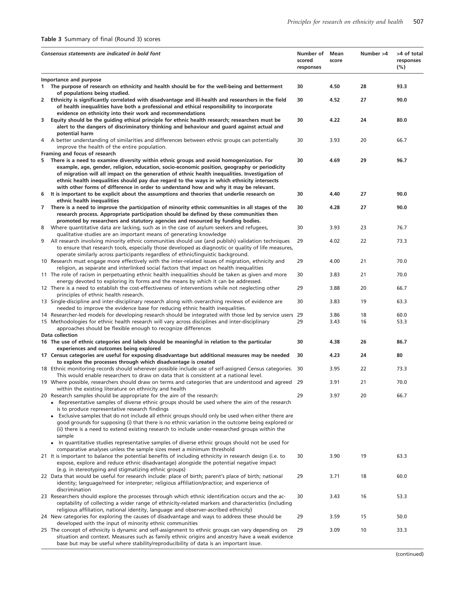<span id="page-4-0"></span>

| Consensus statements are indicated in bold font<br>scored |                                                                                                                                                                                                                                                                                                                                                                                                                                                                                    |    | Number of Mean<br>score | Number >4 | >4 of total<br>responses<br>$(\% )$ |
|-----------------------------------------------------------|------------------------------------------------------------------------------------------------------------------------------------------------------------------------------------------------------------------------------------------------------------------------------------------------------------------------------------------------------------------------------------------------------------------------------------------------------------------------------------|----|-------------------------|-----------|-------------------------------------|
|                                                           | Importance and purpose<br>1 The purpose of research on ethnicity and health should be for the well-being and betterment                                                                                                                                                                                                                                                                                                                                                            | 30 | 4.50                    | 28        | 93.3                                |
|                                                           | of populations being studied.<br>2 Ethnicity is significantly correlated with disadvantage and ill-health and researchers in the field<br>of health inequalities have both a professional and ethical responsibility to incorporate                                                                                                                                                                                                                                                | 30 | 4.52                    | 27        | 90.0                                |
|                                                           | evidence on ethnicity into their work and recommendations<br>3 Equity should be the guiding ethical principle for ethnic health research; researchers must be<br>alert to the dangers of discriminatory thinking and behaviour and guard against actual and                                                                                                                                                                                                                        | 30 | 4.22                    | 24        | 80.0                                |
|                                                           | potential harm<br>4 A better understanding of similarities and differences between ethnic groups can potentially<br>improve the health of the entire population.                                                                                                                                                                                                                                                                                                                   | 30 | 3.93                    | 20        | 66.7                                |
| Framing and focus of research                             |                                                                                                                                                                                                                                                                                                                                                                                                                                                                                    |    |                         |           |                                     |
|                                                           | 5 There is a need to examine diversity within ethnic groups and avoid homogenization. For<br>example, age, gender, religion, education, socio-economic position, geography or periodicity<br>of migration will all impact on the generation of ethnic health inequalities. Investigation of<br>ethnic health inequalities should pay due regard to the ways in which ethnicity intersects<br>with other forms of difference in order to understand how and why it may be relevant. | 30 | 4.69                    | 29        | 96.7                                |
|                                                           | 6 It is important to be explicit about the assumptions and theories that underlie research on<br>ethnic health inequalities                                                                                                                                                                                                                                                                                                                                                        | 30 | 4.40                    | 27        | 90.0                                |
|                                                           | 7 There is a need to improve the participation of minority ethnic communities in all stages of the<br>research process. Appropriate participation should be defined by these communities then                                                                                                                                                                                                                                                                                      | 30 | 4.28                    | 27        | 90.0                                |
|                                                           | promoted by researchers and statutory agencies and resourced by funding bodies.<br>8 Where quantitative data are lacking, such as in the case of asylum seekers and refugees,                                                                                                                                                                                                                                                                                                      | 30 | 3.93                    | 23        | 76.7                                |
|                                                           | qualitative studies are an important means of generating knowledge<br>9 All research involving minority ethnic communities should use (and publish) validation techniques<br>to ensure that research tools, especially those developed as diagnostic or quality of life measures,                                                                                                                                                                                                  | 29 | 4.02                    | 22        | 73.3                                |
|                                                           | operate similarly across participants regardless of ethnic/linguistic background.<br>10 Research must engage more effectively with the inter-related issues of migration, ethnicity and                                                                                                                                                                                                                                                                                            | 29 | 4.00                    | 21        | 70.0                                |
|                                                           | religion, as separate and interlinked social factors that impact on health inequalities<br>11 The role of racism in perpetuating ethnic health inequalities should be taken as given and more                                                                                                                                                                                                                                                                                      | 30 | 3.83                    | 21        | 70.0                                |
|                                                           | energy devoted to exploring its forms and the means by which it can be addressed.<br>12 There is a need to establish the cost-effectiveness of interventions while not neglecting other                                                                                                                                                                                                                                                                                            | 29 | 3.88                    | 20        | 66.7                                |
|                                                           | principles of ethnic health research.<br>13 Single-discipline and inter-disciplinary research along with overarching reviews of evidence are                                                                                                                                                                                                                                                                                                                                       | 30 | 3.83                    | 19        | 63.3                                |
|                                                           | needed to improve the evidence base for reducing ethnic health inequalities.<br>14 Researcher-led models for developing research should be integrated with those led by service users 29                                                                                                                                                                                                                                                                                           |    | 3.86                    | 18        | 60.0                                |
|                                                           | 15 Methodologies for ethnic health research will vary across disciplines and inter-disciplinary<br>approaches should be flexible enough to recognize differences                                                                                                                                                                                                                                                                                                                   | 29 | 3.43                    | 16        | 53.3                                |
|                                                           | Data collection                                                                                                                                                                                                                                                                                                                                                                                                                                                                    |    |                         |           |                                     |
|                                                           | 16 The use of ethnic categories and labels should be meaningful in relation to the particular<br>experiences and outcomes being explored                                                                                                                                                                                                                                                                                                                                           | 30 | 4.38                    | 26        | 86.7                                |
|                                                           | 17 Census categories are useful for exposing disadvantage but additional measures may be needed<br>to explore the processes through which disadvantage is created                                                                                                                                                                                                                                                                                                                  | 30 | 4.23                    | 24        | 80                                  |
|                                                           | 18 Ethnic monitoring records should wherever possible include use of self-assigned Census categories. 30<br>This would enable researchers to draw on data that is consistent at a national level.                                                                                                                                                                                                                                                                                  |    | 3.95                    | 22        | 73.3                                |
|                                                           | 19 Where possible, researchers should draw on terms and categories that are understood and agreed 29                                                                                                                                                                                                                                                                                                                                                                               |    | 3.91                    | 21        | 70.0                                |
|                                                           | within the existing literature on ethnicity and health<br>20 Research samples should be appropriate for the aim of the research:                                                                                                                                                                                                                                                                                                                                                   | 29 | 3.97                    | 20        | 66.7                                |
|                                                           | • Representative samples of diverse ethnic groups should be used where the aim of the research<br>is to produce representative research findings                                                                                                                                                                                                                                                                                                                                   |    |                         |           |                                     |
|                                                           | • Exclusive samples that do not include all ethnic groups should only be used when either there are<br>good grounds for supposing (i) that there is no ethnic variation in the outcome being explored or<br>(ii) there is a need to extend existing research to include under-researched groups within the                                                                                                                                                                         |    |                         |           |                                     |
|                                                           | sample<br>In quantitative studies representative samples of diverse ethnic groups should not be used for<br>$\bullet$                                                                                                                                                                                                                                                                                                                                                              |    |                         |           |                                     |
|                                                           | comparative analyses unless the sample sizes meet a minimum threshold<br>21 It is important to balance the potential benefits of including ethnicity in research design (i.e. to<br>expose, explore and reduce ethnic disadvantage) alongside the potential negative impact                                                                                                                                                                                                        | 30 | 3.90                    | 19        | 63.3                                |
|                                                           | (e.g. in stereotyping and stigmatizing ethnic groups)<br>22 Data that would be useful for research include: place of birth; parent's place of birth; national<br>identity; language/need for interpreter; religious affiliation/practice; and experience of                                                                                                                                                                                                                        | 29 | 3.71                    | 18        | 60.0                                |
|                                                           | discrimination<br>23 Researchers should explore the processes through which ethnic identification occurs and the ac-<br>ceptability of collecting a wider range of ethnicity-related markers and characteristics (including                                                                                                                                                                                                                                                        | 30 | 3.43                    | 16        | 53.3                                |
|                                                           | religious affiliation, national identity, language and observer-ascribed ethnicity)<br>24 New categories for exploring the causes of disadvantage and ways to address these should be<br>developed with the input of minority ethnic communities                                                                                                                                                                                                                                   | 29 | 3.59                    | 15        | 50.0                                |
|                                                           | 25 The concept of ethnicity is dynamic and self-assignment to ethnic groups can vary depending on<br>situation and context. Measures such as family ethnic origins and ancestry have a weak evidence<br>base but may be useful where stability/reproducibility of data is an important issue.                                                                                                                                                                                      | 29 | 3.09                    | 10        | 33.3                                |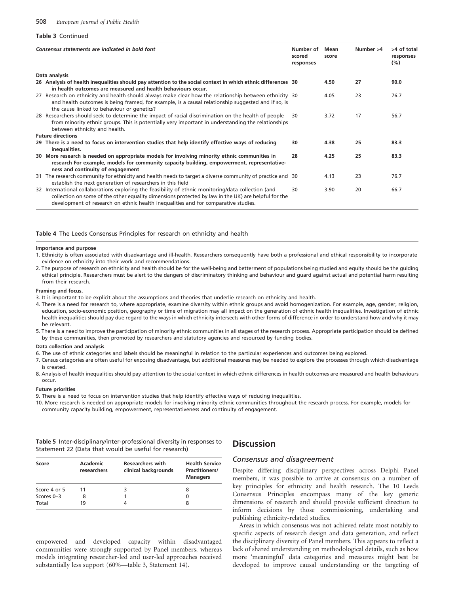#### <span id="page-5-0"></span>Table 3 Continued

| Consensus statements are indicated in bold font<br>Number of<br>scored<br>responses |                                                                                                                                                                                                                                                                                                  |     | <b>Mean</b><br>score | Number >4 | >4 of total<br>responses<br>$(\% )$ |
|-------------------------------------------------------------------------------------|--------------------------------------------------------------------------------------------------------------------------------------------------------------------------------------------------------------------------------------------------------------------------------------------------|-----|----------------------|-----------|-------------------------------------|
|                                                                                     | Data analysis                                                                                                                                                                                                                                                                                    |     |                      |           |                                     |
|                                                                                     | 26 Analysis of health inequalities should pay attention to the social context in which ethnic differences 30<br>in health outcomes are measured and health behaviours occur.                                                                                                                     |     | 4.50                 | 27        | 90.0                                |
|                                                                                     | 27 Research on ethnicity and health should always make clear how the relationship between ethnicity 30<br>and health outcomes is being framed, for example, is a causal relationship suggested and if so, is<br>the cause linked to behaviour or genetics?                                       |     | 4.05                 | 23        | 76.7                                |
|                                                                                     | 28 Researchers should seek to determine the impact of racial discrimination on the health of people<br>from minority ethnic groups. This is potentially very important in understanding the relationships<br>between ethnicity and health.                                                       | -30 | 3.72                 | 17        | 56.7                                |
|                                                                                     | <b>Future directions</b>                                                                                                                                                                                                                                                                         |     |                      |           |                                     |
|                                                                                     | 29 There is a need to focus on intervention studies that help identify effective ways of reducing<br>inequalities.                                                                                                                                                                               | 30  | 4.38                 | 25        | 83.3                                |
|                                                                                     | 30 More research is needed on appropriate models for involving minority ethnic communities in<br>research For example, models for community capacity building, empowerment, representative-<br>ness and continuity of engagement                                                                 | 28  | 4.25                 | 25        | 83.3                                |
|                                                                                     | 31 The research community for ethnicity and health needs to target a diverse community of practice and 30<br>establish the next generation of researchers in this field                                                                                                                          |     | 4.13                 | 23        | 76.7                                |
|                                                                                     | 32 International collaborations exploring the feasibility of ethnic monitoring/data collection (and<br>collection on some of the other equality dimensions protected by law in the UK) are helpful for the<br>development of research on ethnic health inequalities and for comparative studies. | 30  | 3.90                 | 20        | 66.7                                |

Table 4 The Leeds Consensus Principles for research on ethnicity and health

#### Importance and purpose

1. Ethnicity is often associated with disadvantage and ill-health. Researchers consequently have both a professional and ethical responsibility to incorporate evidence on ethnicity into their work and recommendations.

2. The purpose of research on ethnicity and health should be for the well-being and betterment of populations being studied and equity should be the guiding ethical principle. Researchers must be alert to the dangers of discriminatory thinking and behaviour and guard against actual and potential harm resulting from their research.

#### Framing and focus.

- 3. It is important to be explicit about the assumptions and theories that underlie research on ethnicity and health.
- 4. There is a need for research to, where appropriate, examine diversity within ethnic groups and avoid homogenization. For example, age, gender, religion, education, socio-economic position, geography or time of migration may all impact on the generation of ethnic health inequalities. Investigation of ethnic health inequalities should pay due regard to the ways in which ethnicity intersects with other forms of difference in order to understand how and why it may be relevant.
- 5. There is a need to improve the participation of minority ethnic communities in all stages of the research process. Appropriate participation should be defined by these communities, then promoted by researchers and statutory agencies and resourced by funding bodies.

#### Data collection and analysis

- 6. The use of ethnic categories and labels should be meaningful in relation to the particular experiences and outcomes being explored.
- 7. Census categories are often useful for exposing disadvantage, but additional measures may be needed to explore the processes through which disadvantage is created.
- 8. Analysis of health inequalities should pay attention to the social context in which ethnic differences in health outcomes are measured and health behaviours occur.

#### Future priorities

9. There is a need to focus on intervention studies that help identify effective ways of reducing inequalities.

10. More research is needed on appropriate models for involving minority ethnic communities throughout the research process. For example, models for community capacity building, empowerment, representativeness and continuity of engagement.

Table 5 Inter-disciplinary/inter-professional diversity in responses to Statement 22 (Data that would be useful for research)

| Score        | Academic<br>researchers | <b>Researchers with</b><br>clinical backgrounds | <b>Health Service</b><br><b>Practitioners/</b><br><b>Managers</b> |
|--------------|-------------------------|-------------------------------------------------|-------------------------------------------------------------------|
| Score 4 or 5 | 11                      | 3                                               | 8                                                                 |
| Scores $0-3$ | 8                       |                                                 | 0                                                                 |
| Total        | 19                      |                                                 | 8                                                                 |

empowered and developed capacity within disadvantaged communities were strongly supported by Panel members, whereas models integrating researcher-led and user-led approaches received substantially less support (60%[—table 3](#page-4-0), Statement 14).

## **Discussion**

#### Consensus and disagreement

Despite differing disciplinary perspectives across Delphi Panel members, it was possible to arrive at consensus on a number of key principles for ethnicity and health research. The 10 Leeds Consensus Principles encompass many of the key generic dimensions of research and should provide sufficient direction to inform decisions by those commissioning, undertaking and publishing ethnicity-related studies.

Areas in which consensus was not achieved relate most notably to specific aspects of research design and data generation, and reflect the disciplinary diversity of Panel members. This appears to reflect a lack of shared understanding on methodological details, such as how more 'meaningful' data categories and measures might best be developed to improve causal understanding or the targeting of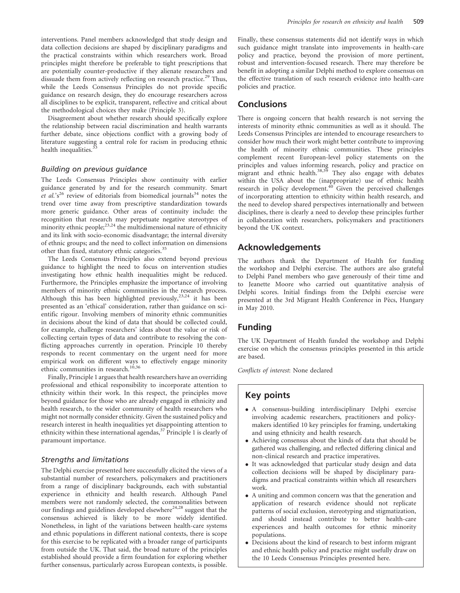interventions. Panel members acknowledged that study design and data collection decisions are shaped by disciplinary paradigms and the practical constraints within which researchers work. Broad principles might therefore be preferable to tight prescriptions that are potentially counter-productive if they alienate researchers and dissuade them from actively reflecting on research practice.<sup>[29](#page-7-0)</sup> Thus, while the Leeds Consensus Principles do not provide specific guidance on research design, they do encourage researchers across all disciplines to be explicit, transparent, reflective and critical about the methodological choices they make (Principle 3).

Disagreement about whether research should specifically explore the relationship between racial discrimination and health warrants further debate, since objections conflict with a growing body of literature suggesting a central role for racism in producing ethnic health inequalities. $3\frac{3}{2}$ 

#### Building on previous guidance

The Leeds Consensus Principles show continuity with earlier guidance generated by and for the research community. Smart et al.'s<sup>[26](#page-7-0)</sup> review of editorials from biomedical journals<sup>[34](#page-7-0)</sup> notes the trend over time away from prescriptive standardization towards more generic guidance. Other areas of continuity include: the recognition that research may perpetuate negative stereotypes of minority ethnic people; $2^{3,24}$  the multidimensional nature of ethnicity and its link with socio-economic disadvantage; the internal diversity of ethnic groups; and the need to collect information on dimensions other than fixed, statutory ethnic categories.<sup>[35](#page-7-0)</sup>

The Leeds Consensus Principles also extend beyond previous guidance to highlight the need to focus on intervention studies investigating how ethnic health inequalities might be reduced. Furthermore, the Principles emphasize the importance of involving members of minority ethnic communities in the research process. Although this has been highlighted previously,  $2^{3,24}$  $2^{3,24}$  $2^{3,24}$  it has been presented as an 'ethical' consideration, rather than guidance on scientific rigour. Involving members of minority ethnic communities in decisions about the kind of data that should be collected could, for example, challenge researchers' ideas about the value or risk of collecting certain types of data and contribute to resolving the conflicting approaches currently in operation. Principle 10 thereby responds to recent commentary on the urgent need for more empirical work on different ways to effectively engage minority ethnic communities in research.<sup>[10](#page-7-0),[36](#page-7-0)</sup>

Finally, Principle 1 argues that health researchers have an overriding professional and ethical responsibility to incorporate attention to ethnicity within their work. In this respect, the principles move beyond guidance for those who are already engaged in ethnicity and health research, to the wider community of health researchers who might not normally consider ethnicity. Given the sustained policy and research interest in health inequalities yet disappointing attention to ethnicity within these international agendas,<sup>[37](#page-7-0)</sup> Principle 1 is clearly of paramount importance.

#### Strengths and limitations

The Delphi exercise presented here successfully elicited the views of a substantial number of researchers, policymakers and practitioners from a range of disciplinary backgrounds, each with substantial experience in ethnicity and health research. Although Panel members were not randomly selected, the commonalities between our findings and guidelines developed elsewhere<sup>[24,28](#page-7-0)</sup> suggest that the consensus achieved is likely to be more widely identified. Nonetheless, in light of the variations between health-care systems and ethnic populations in different national contexts, there is scope for this exercise to be replicated with a broader range of participants from outside the UK. That said, the broad nature of the principles established should provide a firm foundation for exploring whether further consensus, particularly across European contexts, is possible. Finally, these consensus statements did not identify ways in which such guidance might translate into improvements in health-care policy and practice, beyond the provision of more pertinent, robust and intervention-focused research. There may therefore be benefit in adopting a similar Delphi method to explore consensus on the effective translation of such research evidence into health-care policies and practice.

## **Conclusions**

There is ongoing concern that health research is not serving the interests of minority ethnic communities as well as it should. The Leeds Consensus Principles are intended to encourage researchers to consider how much their work might better contribute to improving the health of minority ethnic communities. These principles complement recent European-level policy statements on the principles and values informing research, policy and practice on migrant and ethnic health. $38,39$  They also engage with debates within the USA about the (inappropriate) use of ethnic health research in policy development. $40^{\circ}$  $40^{\circ}$  Given the perceived challenges of incorporating attention to ethnicity within health research, and the need to develop shared perspectives internationally and between disciplines, there is clearly a need to develop these principles further in collaboration with researchers, policymakers and practitioners beyond the UK context.

## Acknowledgements

The authors thank the Department of Health for funding the workshop and Delphi exercise. The authors are also grateful to Delphi Panel members who gave generously of their time and to Jeanette Moore who carried out quantitative analysis of Delphi scores. Initial findings from the Delphi exercise were presented at the 3rd Migrant Health Conference in Pècs, Hungary in May 2010.

## Funding

The UK Department of Health funded the workshop and Delphi exercise on which the consensus principles presented in this article are based.

Conflicts of interest: None declared

## Key points

- A consensus-building interdisciplinary Delphi exercise involving academic researchers, practitioners and policymakers identified 10 key principles for framing, undertaking and using ethnicity and health research.
- Achieving consensus about the kinds of data that should be gathered was challenging, and reflected differing clinical and non-clinical research and practice imperatives.
- It was acknowledged that particular study design and data collection decisions will be shaped by disciplinary paradigms and practical constraints within which all researchers work.
- A uniting and common concern was that the generation and application of research evidence should not replicate patterns of social exclusion, stereotyping and stigmatization, and should instead contribute to better health-care experiences and health outcomes for ethnic minority populations.
- Decisions about the kind of research to best inform migrant and ethnic health policy and practice might usefully draw on the 10 Leeds Consensus Principles presented here.